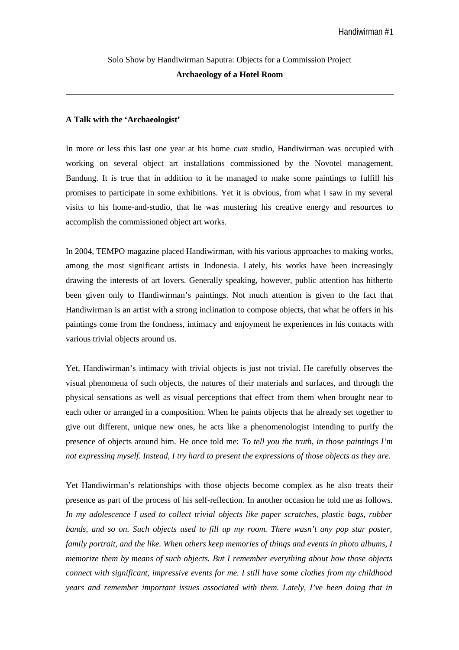# Solo Show by Handiwirman Saputra: Objects for a Commission Project **Archaeology of a Hotel Room**

### **A Talk with the 'Archaeologist'**

In more or less this last one year at his home *cum* studio, Handiwirman was occupied with working on several object art installations commissioned by the Novotel management, Bandung. It is true that in addition to it he managed to make some paintings to fulfill his promises to participate in some exhibitions. Yet it is obvious, from what I saw in my several visits to his home-and-studio, that he was mustering his creative energy and resources to accomplish the commissioned object art works.

In 2004, TEMPO magazine placed Handiwirman, with his various approaches to making works, among the most significant artists in Indonesia. Lately, his works have been increasingly drawing the interests of art lovers. Generally speaking, however, public attention has hitherto been given only to Handiwirman's paintings. Not much attention is given to the fact that Handiwirman is an artist with a strong inclination to compose objects, that what he offers in his paintings come from the fondness, intimacy and enjoyment he experiences in his contacts with various trivial objects around us.

Yet, Handiwirman's intimacy with trivial objects is just not trivial. He carefully observes the visual phenomena of such objects, the natures of their materials and surfaces, and through the physical sensations as well as visual perceptions that effect from them when brought near to each other or arranged in a composition. When he paints objects that he already set together to give out different, unique new ones, he acts like a phenomenologist intending to purify the presence of objects around him. He once told me: *To tell you the truth, in those paintings I'm not expressing myself. Instead, I try hard to present the expressions of those objects as they are.*

Yet Handiwirman's relationships with those objects become complex as he also treats their presence as part of the process of his self-reflection. In another occasion he told me as follows. *In my adolescence I used to collect trivial objects like paper scratches, plastic bags, rubber bands, and so on. Such objects used to fill up my room. There wasn't any pop star poster, family portrait, and the like. When others keep memories of things and events in photo albums, I memorize them by means of such objects. But I remember everything about how those objects connect with significant, impressive events for me. I still have some clothes from my childhood years and remember important issues associated with them. Lately, I've been doing that in*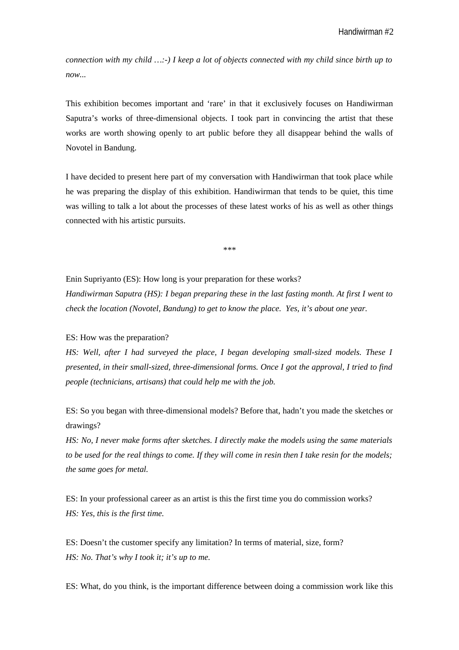*connection with my child …:-) I keep a lot of objects connected with my child since birth up to now...* 

This exhibition becomes important and 'rare' in that it exclusively focuses on Handiwirman Saputra's works of three-dimensional objects. I took part in convincing the artist that these works are worth showing openly to art public before they all disappear behind the walls of Novotel in Bandung.

I have decided to present here part of my conversation with Handiwirman that took place while he was preparing the display of this exhibition. Handiwirman that tends to be quiet, this time was willing to talk a lot about the processes of these latest works of his as well as other things connected with his artistic pursuits.

\*\*\*

Enin Supriyanto (ES): How long is your preparation for these works?

*Handiwirman Saputra (HS): I began preparing these in the last fasting month. At first I went to check the location (Novotel, Bandung) to get to know the place. Yes, it's about one year.*

ES: How was the preparation?

*HS: Well, after I had surveyed the place, I began developing small-sized models. These I presented, in their small-sized, three-dimensional forms. Once I got the approval, I tried to find people (technicians, artisans) that could help me with the job.* 

ES: So you began with three-dimensional models? Before that, hadn't you made the sketches or drawings?

*HS: No, I never make forms after sketches. I directly make the models using the same materials to be used for the real things to come. If they will come in resin then I take resin for the models; the same goes for metal.* 

ES: In your professional career as an artist is this the first time you do commission works? *HS: Yes, this is the first time.* 

ES: Doesn't the customer specify any limitation? In terms of material, size, form? *HS: No. That's why I took it; it's up to me.*

ES: What, do you think, is the important difference between doing a commission work like this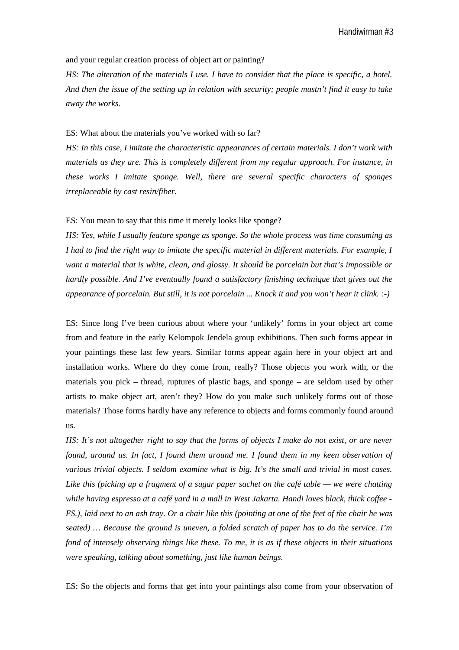Handiwirman #3

and your regular creation process of object art or painting?

*HS: The alteration of the materials I use. I have to consider that the place is specific, a hotel. And then the issue of the setting up in relation with security; people mustn't find it easy to take away the works.* 

# ES: What about the materials you've worked with so far?

*HS: In this case, I imitate the characteristic appearances of certain materials. I don't work with materials as they are. This is completely different from my regular approach. For instance, in these works I imitate sponge. Well, there are several specific characters of sponges irreplaceable by cast resin/fiber.*

#### ES: You mean to say that this time it merely looks like sponge?

*HS: Yes, while I usually feature sponge as sponge. So the whole process was time consuming as I had to find the right way to imitate the specific material in different materials. For example, I want a material that is white, clean, and glossy. It should be porcelain but that's impossible or hardly possible. And I've eventually found a satisfactory finishing technique that gives out the appearance of porcelain. But still, it is not porcelain ... Knock it and you won't hear it clink. :-)*

ES: Since long I've been curious about where your 'unlikely' forms in your object art come from and feature in the early Kelompok Jendela group exhibitions. Then such forms appear in your paintings these last few years. Similar forms appear again here in your object art and installation works. Where do they come from, really? Those objects you work with, or the materials you pick – thread, ruptures of plastic bags, and sponge – are seldom used by other artists to make object art, aren't they? How do you make such unlikely forms out of those materials? Those forms hardly have any reference to objects and forms commonly found around us.

*HS: It's not altogether right to say that the forms of objects I make do not exist, or are never found, around us. In fact, I found them around me. I found them in my keen observation of various trivial objects. I seldom examine what is big. It's the small and trivial in most cases. Like this (picking up a fragment of a sugar paper sachet on the café table — we were chatting while having espresso at a café yard in a mall in West Jakarta. Handi loves black, thick coffee - ES.), laid next to an ash tray. Or a chair like this (pointing at one of the feet of the chair he was seated) … Because the ground is uneven, a folded scratch of paper has to do the service. I'm fond of intensely observing things like these. To me, it is as if these objects in their situations were speaking, talking about something, just like human beings.* 

ES: So the objects and forms that get into your paintings also come from your observation of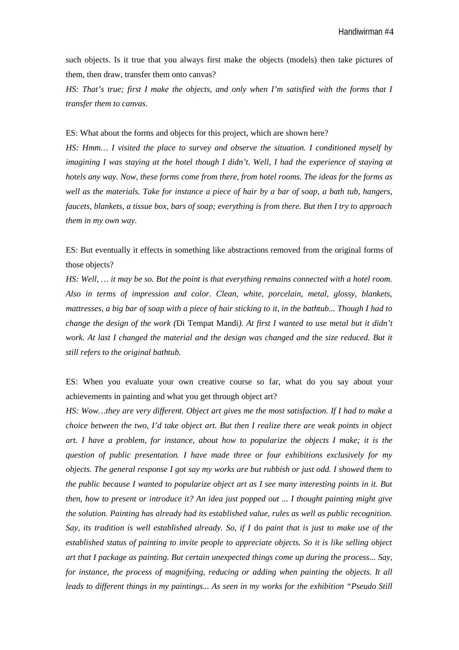Handiwirman #4

such objects. Is it true that you always first make the objects (models) then take pictures of them, then draw, transfer them onto canvas?

*HS: That's true; first I make the objects, and only when I'm satisfied with the forms that I transfer them to canvas.* 

ES: What about the forms and objects for this project, which are shown here?

*HS: Hmm… I visited the place to survey and observe the situation. I conditioned myself by imagining I was staying at the hotel though I didn't. Well, I had the experience of staying at hotels any way. Now, these forms come from there, from hotel rooms. The ideas for the forms as well as the materials. Take for instance a piece of hair by a bar of soap, a bath tub, hangers, faucets, blankets, a tissue box, bars of soap; everything is from there. But then I try to approach them in my own way.* 

ES: But eventually it effects in something like abstractions removed from the original forms of those objects?

*HS: Well, … it may be so. But the point is that everything remains connected with a hotel room. Also in terms of impression and color. Clean, white, porcelain, metal, glossy, blankets, mattresses, a big bar of soap with a piece of hair sticking to it, in the bathtub... Though I had to change the design of the work (*Di Tempat Mandi*). At first I wanted to use metal but it didn't work. At last I changed the material and the design was changed and the size reduced. But it still refers to the original bathtub.* 

ES: When you evaluate your own creative course so far, what do you say about your achievements in painting and what you get through object art?

*HS: Wow…they are very different. Object art gives me the most satisfaction. If I had to make a choice between the two, I'd take object art. But then I realize there are weak points in object art. I have a problem, for instance, about how to popularize the objects I make; it is the question of public presentation. I have made three or four exhibitions exclusively for my objects. The general response I got say my works are but rubbish or just odd. I showed them to the public because I wanted to popularize object art as I see many interesting points in it. But then, how to present or introduce it? An idea just popped out ... I thought painting might give the solution. Painting has already had its established value, rules as well as public recognition. Say, its tradition is well established already. So, if I* do *paint that is just to make use of the established status of painting to invite people to appreciate objects. So it is like selling object art that I package as painting. But certain unexpected things come up during the process... Say, for instance, the process of magnifying, reducing or adding when painting the objects. It all leads to different things in my paintings... As seen in my works for the exhibition "Pseudo Still*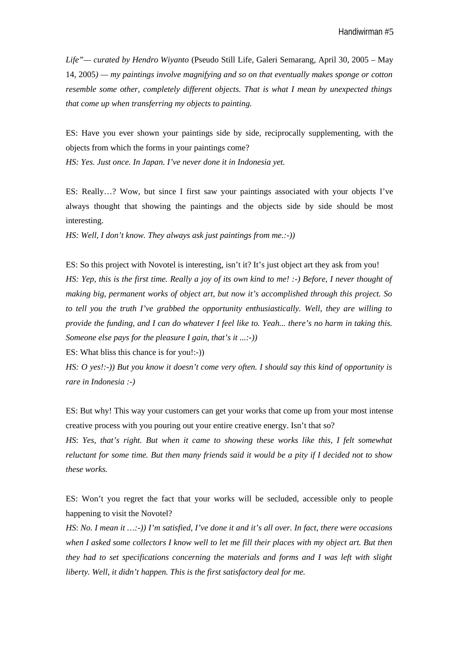*Life"— curated by Hendro Wiyanto* (Pseudo Still Life, Galeri Semarang, April 30, 2005 – May 14, 2005*) — my paintings involve magnifying and so on that eventually makes sponge or cotton resemble some other, completely different objects. That is what I mean by unexpected things that come up when transferring my objects to painting.* 

ES: Have you ever shown your paintings side by side, reciprocally supplementing, with the objects from which the forms in your paintings come?

*HS: Yes. Just once. In Japan. I've never done it in Indonesia yet.*

ES: Really…? Wow, but since I first saw your paintings associated with your objects I've always thought that showing the paintings and the objects side by side should be most interesting.

*HS: Well, I don't know. They always ask just paintings from me.:-))*

ES: So this project with Novotel is interesting, isn't it? It's just object art they ask from you! *HS: Yep, this is the first time. Really a joy of its own kind to me! :-) Before, I never thought of making big, permanent works of object art, but now it's accomplished through this project. So to tell you the truth I've grabbed the opportunity enthusiastically. Well, they are willing to provide the funding, and I can do whatever I feel like to. Yeah... there's no harm in taking this. Someone else pays for the pleasure I gain, that's it ...:-))*

ES: What bliss this chance is for you!:-))

*HS: O yes!:-)) But you know it doesn't come very often. I should say this kind of opportunity is rare in Indonesia :-)*

ES: But why! This way your customers can get your works that come up from your most intense creative process with you pouring out your entire creative energy. Isn't that so?

*HS*: *Yes, that's right. But when it came to showing these works like this, I felt somewhat reluctant for some time. But then many friends said it would be a pity if I decided not to show these works.* 

ES: Won't you regret the fact that your works will be secluded, accessible only to people happening to visit the Novotel?

*HS*: *No. I mean it …:-)) I'm satisfied, I've done it and it's all over. In fact, there were occasions when I asked some collectors I know well to let me fill their places with my object art. But then they had to set specifications concerning the materials and forms and I was left with slight liberty. Well, it didn't happen. This is the first satisfactory deal for me.*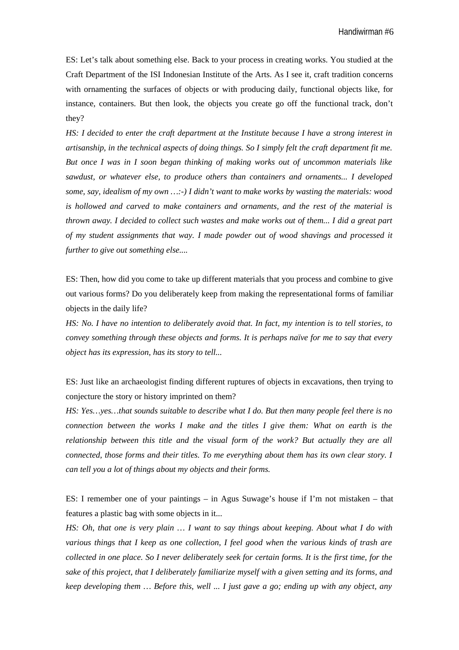ES: Let's talk about something else. Back to your process in creating works. You studied at the Craft Department of the ISI Indonesian Institute of the Arts. As I see it, craft tradition concerns with ornamenting the surfaces of objects or with producing daily, functional objects like, for instance, containers. But then look, the objects you create go off the functional track, don't they?

*HS: I decided to enter the craft department at the Institute because I have a strong interest in artisanship, in the technical aspects of doing things. So I simply felt the craft department fit me. But once I was in I soon began thinking of making works out of uncommon materials like sawdust, or whatever else, to produce others than containers and ornaments... I developed some, say, idealism of my own …:-) I didn't want to make works by wasting the materials: wood is hollowed and carved to make containers and ornaments, and the rest of the material is thrown away. I decided to collect such wastes and make works out of them... I did a great part of my student assignments that way. I made powder out of wood shavings and processed it further to give out something else....*

ES: Then, how did you come to take up different materials that you process and combine to give out various forms? Do you deliberately keep from making the representational forms of familiar objects in the daily life?

*HS: No. I have no intention to deliberately avoid that. In fact, my intention is to tell stories, to convey something through these objects and forms. It is perhaps naïve for me to say that every object has its expression, has its story to tell...*

ES: Just like an archaeologist finding different ruptures of objects in excavations, then trying to conjecture the story or history imprinted on them?

*HS: Yes…yes…that sounds suitable to describe what I do. But then many people feel there is no connection between the works I make and the titles I give them: What on earth is the relationship between this title and the visual form of the work? But actually they are all connected, those forms and their titles. To me everything about them has its own clear story. I can tell you a lot of things about my objects and their forms.* 

ES: I remember one of your paintings  $-$  in Agus Suwage's house if I'm not mistaken  $-$  that features a plastic bag with some objects in it...

*HS: Oh, that one is very plain … I want to say things about keeping. About what I do with various things that I keep as one collection, I feel good when the various kinds of trash are collected in one place. So I never deliberately seek for certain forms. It is the first time, for the sake of this project, that I deliberately familiarize myself with a given setting and its forms, and keep developing them … Before this, well ... I just gave a go; ending up with any object, any*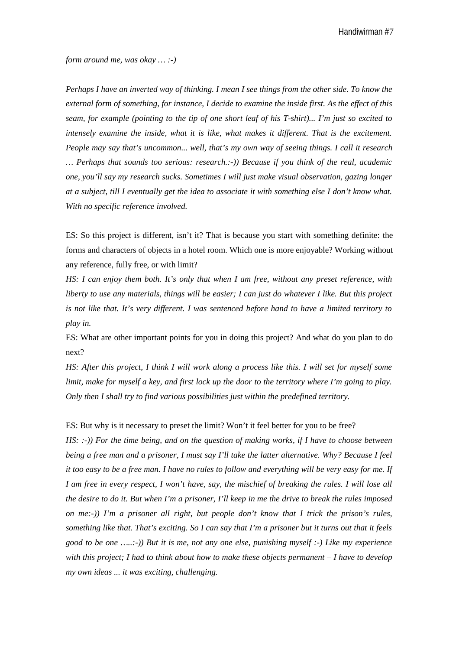Handiwirman #7

*form around me, was okay … :-)*

*Perhaps I have an inverted way of thinking. I mean I see things from the other side. To know the external form of something, for instance, I decide to examine the inside first. As the effect of this seam, for example (pointing to the tip of one short leaf of his T-shirt)... I'm just so excited to intensely examine the inside, what it is like, what makes it different. That is the excitement. People may say that's uncommon... well, that's my own way of seeing things. I call it research … Perhaps that sounds too serious: research.:-)) Because if you think of the real, academic one, you'll say my research sucks. Sometimes I will just make visual observation, gazing longer at a subject, till I eventually get the idea to associate it with something else I don't know what. With no specific reference involved.* 

ES: So this project is different, isn't it? That is because you start with something definite: the forms and characters of objects in a hotel room. Which one is more enjoyable? Working without any reference, fully free, or with limit?

*HS: I can enjoy them both. It's only that when I am free, without any preset reference, with liberty to use any materials, things will be easier; I can just do whatever I like. But this project is not like that. It's very different. I was sentenced before hand to have a limited territory to play in.* 

ES: What are other important points for you in doing this project? And what do you plan to do next?

*HS: After this project, I think I will work along a process like this. I will set for myself some limit, make for myself a key, and first lock up the door to the territory where I'm going to play. Only then I shall try to find various possibilities just within the predefined territory.* 

ES: But why is it necessary to preset the limit? Won't it feel better for you to be free? *HS: :-)) For the time being, and on the question of making works, if I have to choose between being a free man and a prisoner, I must say I'll take the latter alternative. Why? Because I feel it too easy to be a free man. I have no rules to follow and everything will be very easy for me. If I am free in every respect, I won't have, say, the mischief of breaking the rules. I will lose all the desire to do it. But when I'm a prisoner, I'll keep in me the drive to break the rules imposed on me:-)) I'm a prisoner all right, but people don't know that I trick the prison's rules, something like that. That's exciting. So I can say that I'm a prisoner but it turns out that it feels good to be one …..:-)) But it is me, not any one else, punishing myself :-) Like my experience with this project; I had to think about how to make these objects permanent – I have to develop my own ideas ... it was exciting, challenging.*